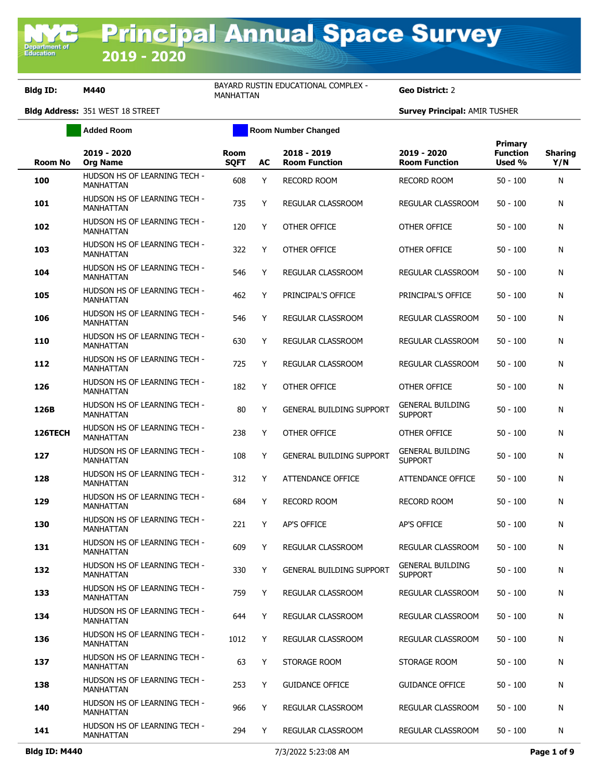**Bldg ID: M440** BAYARD RUSTIN EDUCATIONAL COMPLEX -

Geo District: 2

|                | <b>Added Room</b>                                |                            |    | <b>Room Number Changed</b>          |                                           |                                      |                       |  |
|----------------|--------------------------------------------------|----------------------------|----|-------------------------------------|-------------------------------------------|--------------------------------------|-----------------------|--|
| <b>Room No</b> | 2019 - 2020<br><b>Org Name</b>                   | <b>Room</b><br><b>SQFT</b> | AC | 2018 - 2019<br><b>Room Function</b> | 2019 - 2020<br><b>Room Function</b>       | Primary<br><b>Function</b><br>Used % | <b>Sharing</b><br>Y/N |  |
| 100            | HUDSON HS OF LEARNING TECH -<br><b>MANHATTAN</b> | 608                        | Y  | <b>RECORD ROOM</b>                  | <b>RECORD ROOM</b>                        | $50 - 100$                           | N                     |  |
| 101            | HUDSON HS OF LEARNING TECH -<br><b>MANHATTAN</b> | 735                        | Y  | REGULAR CLASSROOM                   | REGULAR CLASSROOM                         | $50 - 100$                           | Ν                     |  |
| 102            | HUDSON HS OF LEARNING TECH -<br><b>MANHATTAN</b> | 120                        | Y  | OTHER OFFICE                        | OTHER OFFICE                              | $50 - 100$                           | Ν                     |  |
| 103            | HUDSON HS OF LEARNING TECH -<br><b>MANHATTAN</b> | 322                        | Y  | <b>OTHER OFFICE</b>                 | OTHER OFFICE                              | $50 - 100$                           | N                     |  |
| 104            | HUDSON HS OF LEARNING TECH -<br><b>MANHATTAN</b> | 546                        | Y  | REGULAR CLASSROOM                   | REGULAR CLASSROOM                         | $50 - 100$                           | N                     |  |
| 105            | HUDSON HS OF LEARNING TECH -<br>MANHATTAN        | 462                        | Y  | PRINCIPAL'S OFFICE                  | PRINCIPAL'S OFFICE                        | $50 - 100$                           | N                     |  |
| 106            | HUDSON HS OF LEARNING TECH -<br>MANHATTAN        | 546                        | Y  | REGULAR CLASSROOM                   | REGULAR CLASSROOM                         | $50 - 100$                           | N                     |  |
| 110            | HUDSON HS OF LEARNING TECH -<br>MANHATTAN        | 630                        | Y  | REGULAR CLASSROOM                   | REGULAR CLASSROOM                         | $50 - 100$                           | Ν                     |  |
| 112            | HUDSON HS OF LEARNING TECH -<br>MANHATTAN        | 725                        | Y  | REGULAR CLASSROOM                   | REGULAR CLASSROOM                         | $50 - 100$                           | Ν                     |  |
| 126            | HUDSON HS OF LEARNING TECH -<br><b>MANHATTAN</b> | 182                        | Y  | OTHER OFFICE                        | OTHER OFFICE                              | $50 - 100$                           | Ν                     |  |
| 126B           | HUDSON HS OF LEARNING TECH -<br><b>MANHATTAN</b> | 80                         | Y  | <b>GENERAL BUILDING SUPPORT</b>     | <b>GENERAL BUILDING</b><br><b>SUPPORT</b> | $50 - 100$                           | N                     |  |
| 126TECH        | HUDSON HS OF LEARNING TECH -<br><b>MANHATTAN</b> | 238                        | Y  | OTHER OFFICE                        | OTHER OFFICE                              | $50 - 100$                           | Ν                     |  |
| 127            | HUDSON HS OF LEARNING TECH -<br>MANHATTAN        | 108                        | Y  | <b>GENERAL BUILDING SUPPORT</b>     | <b>GENERAL BUILDING</b><br><b>SUPPORT</b> | $50 - 100$                           | Ν                     |  |
| 128            | HUDSON HS OF LEARNING TECH -<br>MANHATTAN        | 312                        | Y  | ATTENDANCE OFFICE                   | ATTENDANCE OFFICE                         | $50 - 100$                           | Ν                     |  |
| 129            | HUDSON HS OF LEARNING TECH -<br>MANHATTAN        | 684                        | Y  | <b>RECORD ROOM</b>                  | <b>RECORD ROOM</b>                        | $50 - 100$                           | Ν                     |  |
| 130            | HUDSON HS OF LEARNING TECH -<br><b>MANHATTAN</b> | 221                        | Y  | <b>AP'S OFFICE</b>                  | AP'S OFFICE                               | $50 - 100$                           | Ν                     |  |
| 131            | HUDSON HS OF LEARNING TECH -<br>MANHATTAN        | 609                        | Y  | REGULAR CLASSROOM                   | REGULAR CLASSROOM                         | $50 - 100$                           | Ν                     |  |
| 132            | HUDSON HS OF LEARNING TECH -<br>MANHATTAN        | 330                        | Y  | <b>GENERAL BUILDING SUPPORT</b>     | <b>GENERAL BUILDING</b><br><b>SUPPORT</b> | $50 - 100$                           | N                     |  |
| 133            | HUDSON HS OF LEARNING TECH -<br>MANHATTAN        | 759                        | Y  | REGULAR CLASSROOM                   | REGULAR CLASSROOM                         | $50 - 100$                           | Ν                     |  |
| 134            | HUDSON HS OF LEARNING TECH -<br>MANHATTAN        | 644                        | Y  | REGULAR CLASSROOM                   | REGULAR CLASSROOM                         | $50 - 100$                           | Ν                     |  |
| 136            | HUDSON HS OF LEARNING TECH -<br>MANHATTAN        | 1012                       | Y  | REGULAR CLASSROOM                   | REGULAR CLASSROOM                         | $50 - 100$                           | N                     |  |
| 137            | HUDSON HS OF LEARNING TECH -<br><b>MANHATTAN</b> | 63                         | Y  | STORAGE ROOM                        | STORAGE ROOM                              | $50 - 100$                           | N                     |  |
| 138            | HUDSON HS OF LEARNING TECH -<br>MANHATTAN        | 253                        | Y  | <b>GUIDANCE OFFICE</b>              | <b>GUIDANCE OFFICE</b>                    | $50 - 100$                           | Ν                     |  |
| 140            | HUDSON HS OF LEARNING TECH -<br><b>MANHATTAN</b> | 966                        | Y  | REGULAR CLASSROOM                   | REGULAR CLASSROOM                         | $50 - 100$                           | Ν                     |  |
| 141            | HUDSON HS OF LEARNING TECH -<br>MANHATTAN        | 294                        | Y  | REGULAR CLASSROOM                   | REGULAR CLASSROOM                         | $50 - 100$                           | Ν                     |  |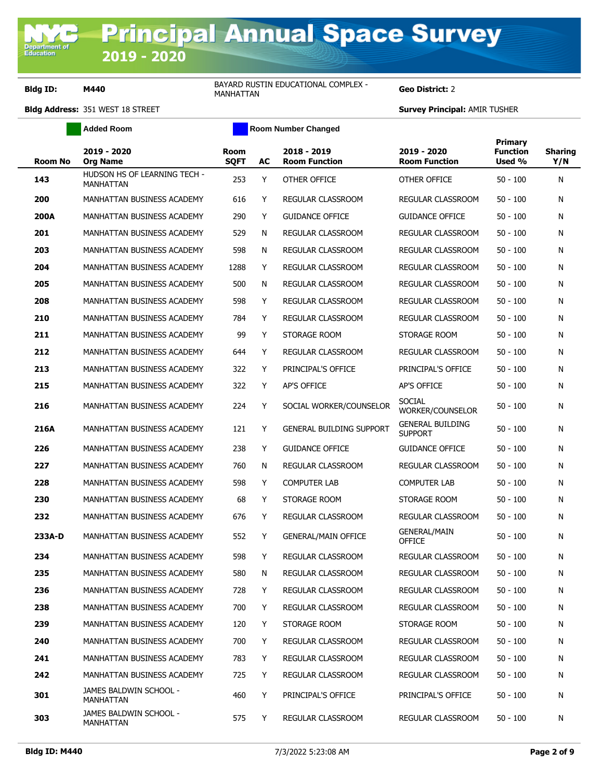**Bldg ID: M440** BAYARD RUSTIN EDUCATIONAL COMPLEX -BAYARD RUSTIN EDUCATIONAL COMPLEX - **Geo District:** 2<br>MANHATTAN

|                | Added Room                                |                            |    | Room Number Changed                 |                                           |                                      |                       |
|----------------|-------------------------------------------|----------------------------|----|-------------------------------------|-------------------------------------------|--------------------------------------|-----------------------|
| <b>Room No</b> | 2019 - 2020<br><b>Org Name</b>            | <b>Room</b><br><b>SQFT</b> | AC | 2018 - 2019<br><b>Room Function</b> | 2019 - 2020<br><b>Room Function</b>       | Primary<br><b>Function</b><br>Used % | <b>Sharing</b><br>Y/N |
| 143            | HUDSON HS OF LEARNING TECH -<br>MANHATTAN | 253                        | Y  | OTHER OFFICE                        | OTHER OFFICE                              | $50 - 100$                           | N                     |
| 200            | MANHATTAN BUSINESS ACADEMY                | 616                        | Y  | REGULAR CLASSROOM                   | REGULAR CLASSROOM                         | $50 - 100$                           | N                     |
| 200A           | MANHATTAN BUSINESS ACADEMY                | 290                        | Y  | <b>GUIDANCE OFFICE</b>              | <b>GUIDANCE OFFICE</b>                    | $50 - 100$                           | N                     |
| 201            | MANHATTAN BUSINESS ACADEMY                | 529                        | N  | REGULAR CLASSROOM                   | REGULAR CLASSROOM                         | $50 - 100$                           | N                     |
| 203            | MANHATTAN BUSINESS ACADEMY                | 598                        | N  | REGULAR CLASSROOM                   | REGULAR CLASSROOM                         | $50 - 100$                           | N                     |
| 204            | MANHATTAN BUSINESS ACADEMY                | 1288                       | Y  | REGULAR CLASSROOM                   | REGULAR CLASSROOM                         | $50 - 100$                           | N                     |
| 205            | MANHATTAN BUSINESS ACADEMY                | 500                        | N  | REGULAR CLASSROOM                   | REGULAR CLASSROOM                         | $50 - 100$                           | N                     |
| 208            | MANHATTAN BUSINESS ACADEMY                | 598                        | Y  | REGULAR CLASSROOM                   | REGULAR CLASSROOM                         | $50 - 100$                           | N                     |
| 210            | MANHATTAN BUSINESS ACADEMY                | 784                        | Y  | <b>REGULAR CLASSROOM</b>            | REGULAR CLASSROOM                         | $50 - 100$                           | N                     |
| 211            | MANHATTAN BUSINESS ACADEMY                | 99                         | Y  | STORAGE ROOM                        | STORAGE ROOM                              | $50 - 100$                           | N                     |
| 212            | MANHATTAN BUSINESS ACADEMY                | 644                        | Y  | REGULAR CLASSROOM                   | <b>REGULAR CLASSROOM</b>                  | $50 - 100$                           | N                     |
| 213            | MANHATTAN BUSINESS ACADEMY                | 322                        | Y  | PRINCIPAL'S OFFICE                  | PRINCIPAL'S OFFICE                        | $50 - 100$                           | N                     |
| 215            | MANHATTAN BUSINESS ACADEMY                | 322                        | Y  | <b>AP'S OFFICE</b>                  | AP'S OFFICE                               | $50 - 100$                           | N                     |
| 216            | <b>MANHATTAN BUSINESS ACADEMY</b>         | 224                        | Y  | SOCIAL WORKER/COUNSELOR             | <b>SOCIAL</b><br>WORKER/COUNSELOR         | $50 - 100$                           | N                     |
| 216A           | MANHATTAN BUSINESS ACADEMY                | 121                        | Y  | <b>GENERAL BUILDING SUPPORT</b>     | <b>GENERAL BUILDING</b><br><b>SUPPORT</b> | $50 - 100$                           | N                     |
| 226            | MANHATTAN BUSINESS ACADEMY                | 238                        | Y  | <b>GUIDANCE OFFICE</b>              | <b>GUIDANCE OFFICE</b>                    | $50 - 100$                           | N                     |
| 227            | MANHATTAN BUSINESS ACADEMY                | 760                        | N  | REGULAR CLASSROOM                   | REGULAR CLASSROOM                         | $50 - 100$                           | N                     |
| 228            | MANHATTAN BUSINESS ACADEMY                | 598                        | Y  | <b>COMPUTER LAB</b>                 | <b>COMPUTER LAB</b>                       | $50 - 100$                           | N                     |
| 230            | MANHATTAN BUSINESS ACADEMY                | 68                         | Y  | STORAGE ROOM                        | STORAGE ROOM                              | $50 - 100$                           | N                     |
| 232            | MANHATTAN BUSINESS ACADEMY                | 676                        | Y  | <b>REGULAR CLASSROOM</b>            | REGULAR CLASSROOM                         | $50 - 100$                           | N                     |
| 233A-D         | MANHATTAN BUSINESS ACADEMY                | 552                        | Y  | <b>GENERAL/MAIN OFFICE</b>          | <b>GENERAL/MAIN</b><br><b>OFFICE</b>      | $50 - 100$                           | N                     |
| 234            | MANHATTAN BUSINESS ACADEMY                | 598                        | Y  | REGULAR CLASSROOM                   | <b>REGULAR CLASSROOM</b>                  | $50 - 100$                           | N                     |
| 235            | MANHATTAN BUSINESS ACADEMY                | 580                        | N  | REGULAR CLASSROOM                   | <b>REGULAR CLASSROOM</b>                  | $50 - 100$                           | N                     |
| 236            | MANHATTAN BUSINESS ACADEMY                | 728                        | Y  | <b>REGULAR CLASSROOM</b>            | REGULAR CLASSROOM                         | $50 - 100$                           | N                     |
| 238            | MANHATTAN BUSINESS ACADEMY                | 700                        | Y  | <b>REGULAR CLASSROOM</b>            | REGULAR CLASSROOM                         | $50 - 100$                           | N                     |
| 239            | MANHATTAN BUSINESS ACADEMY                | 120                        | Y  | STORAGE ROOM                        | STORAGE ROOM                              | $50 - 100$                           | N                     |
| 240            | MANHATTAN BUSINESS ACADEMY                | 700                        | Y  | <b>REGULAR CLASSROOM</b>            | REGULAR CLASSROOM                         | $50 - 100$                           | N                     |
| 241            | MANHATTAN BUSINESS ACADEMY                | 783                        | Y  | REGULAR CLASSROOM                   | REGULAR CLASSROOM                         | $50 - 100$                           | N                     |
| 242            | MANHATTAN BUSINESS ACADEMY                | 725                        | Y  | REGULAR CLASSROOM                   | REGULAR CLASSROOM                         | $50 - 100$                           | N                     |
| 301            | JAMES BALDWIN SCHOOL -<br>MANHATTAN       | 460                        | Y  | PRINCIPAL'S OFFICE                  | PRINCIPAL'S OFFICE                        | $50 - 100$                           | N                     |
| 303            | JAMES BALDWIN SCHOOL -<br>MANHATTAN       | 575                        | Y  | REGULAR CLASSROOM                   | REGULAR CLASSROOM                         | $50 - 100$                           | N                     |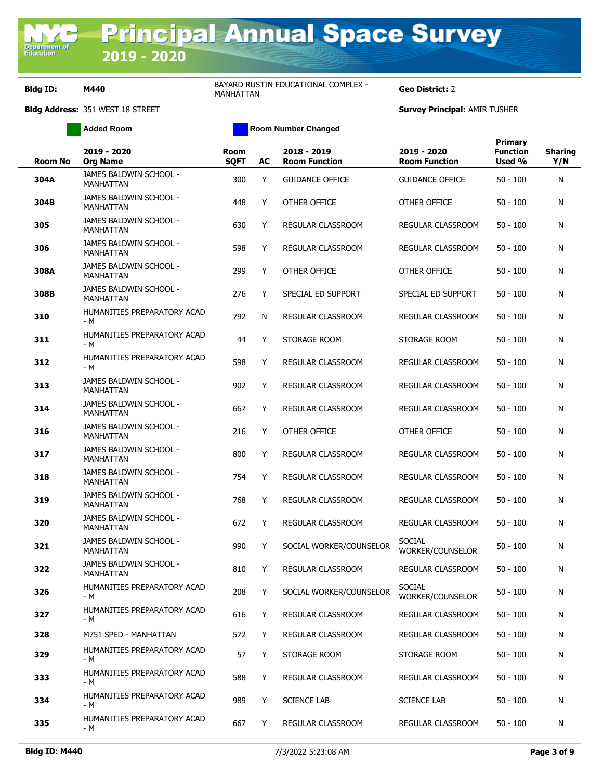**Bldg ID: M440** BAYARD RUSTIN EDUCATIONAL COMPLEX -BAYARD RUSTIN EDUCATIONAL COMPLEX - **Geo District:** 2<br>MANHATTAN

|                | <b>Added Room</b>                          | <b>Room Number Changed</b> |    |                                     |                                     |                                      |                       |
|----------------|--------------------------------------------|----------------------------|----|-------------------------------------|-------------------------------------|--------------------------------------|-----------------------|
| <b>Room No</b> | 2019 - 2020<br><b>Org Name</b>             | <b>Room</b><br><b>SQFT</b> | AC | 2018 - 2019<br><b>Room Function</b> | 2019 - 2020<br><b>Room Function</b> | Primary<br><b>Function</b><br>Used % | <b>Sharing</b><br>Y/N |
| 304A           | JAMES BALDWIN SCHOOL -<br><b>MANHATTAN</b> | 300                        | Y  | <b>GUIDANCE OFFICE</b>              | <b>GUIDANCE OFFICE</b>              | $50 - 100$                           | N                     |
| 304B           | JAMES BALDWIN SCHOOL -<br>MANHATTAN        | 448                        | Y  | OTHER OFFICE                        | OTHER OFFICE                        | $50 - 100$                           | Ν                     |
| 305            | JAMES BALDWIN SCHOOL -<br><b>MANHATTAN</b> | 630                        | Y  | REGULAR CLASSROOM                   | REGULAR CLASSROOM                   | $50 - 100$                           | N                     |
| 306            | JAMES BALDWIN SCHOOL -<br><b>MANHATTAN</b> | 598                        | Y  | REGULAR CLASSROOM                   | REGULAR CLASSROOM                   | $50 - 100$                           | Ν                     |
| 308A           | JAMES BALDWIN SCHOOL -<br><b>MANHATTAN</b> | 299                        | Y  | OTHER OFFICE                        | OTHER OFFICE                        | $50 - 100$                           | N                     |
| 308B           | JAMES BALDWIN SCHOOL -<br><b>MANHATTAN</b> | 276                        | Y  | SPECIAL ED SUPPORT                  | SPECIAL ED SUPPORT                  | $50 - 100$                           | Ν                     |
| 310            | HUMANITIES PREPARATORY ACAD<br>- M         | 792                        | N  | REGULAR CLASSROOM                   | REGULAR CLASSROOM                   | $50 - 100$                           | Ν                     |
| 311            | HUMANITIES PREPARATORY ACAD<br>- M         | 44                         | Y  | STORAGE ROOM                        | STORAGE ROOM                        | $50 - 100$                           | Ν                     |
| 312            | HUMANITIES PREPARATORY ACAD<br>$- M$       | 598                        | Y  | REGULAR CLASSROOM                   | REGULAR CLASSROOM                   | $50 - 100$                           | Ν                     |
| 313            | JAMES BALDWIN SCHOOL -<br><b>MANHATTAN</b> | 902                        | Y  | REGULAR CLASSROOM                   | REGULAR CLASSROOM                   | $50 - 100$                           | Ν                     |
| 314            | JAMES BALDWIN SCHOOL -<br><b>MANHATTAN</b> | 667                        | Y  | REGULAR CLASSROOM                   | REGULAR CLASSROOM                   | $50 - 100$                           | Ν                     |
| 316            | JAMES BALDWIN SCHOOL -<br><b>MANHATTAN</b> | 216                        | Y  | OTHER OFFICE                        | OTHER OFFICE                        | $50 - 100$                           | Ν                     |
| 317            | JAMES BALDWIN SCHOOL -<br><b>MANHATTAN</b> | 800                        | Y  | REGULAR CLASSROOM                   | REGULAR CLASSROOM                   | $50 - 100$                           | N                     |
| 318            | JAMES BALDWIN SCHOOL -<br><b>MANHATTAN</b> | 754                        | Y  | REGULAR CLASSROOM                   | REGULAR CLASSROOM                   | $50 - 100$                           | Ν                     |
| 319            | JAMES BALDWIN SCHOOL -<br><b>MANHATTAN</b> | 768                        | Y  | REGULAR CLASSROOM                   | REGULAR CLASSROOM                   | $50 - 100$                           | Ν                     |
| 320            | JAMES BALDWIN SCHOOL -<br><b>MANHATTAN</b> | 672                        | Y  | <b>REGULAR CLASSROOM</b>            | <b>REGULAR CLASSROOM</b>            | $50 - 100$                           | Ν                     |
| 321            | JAMES BALDWIN SCHOOL -<br><b>MANHATTAN</b> | 990                        | Y  | SOCIAL WORKER/COUNSELOR             | <b>SOCIAL</b><br>WORKER/COUNSELOR   | $50 - 100$                           | N                     |
| 322            | JAMES BALDWIN SCHOOL -<br><b>MANHATTAN</b> | 810                        | Y  | REGULAR CLASSROOM                   | REGULAR CLASSROOM                   | $50 - 100$                           | N                     |
| 326            | HUMANITIES PREPARATORY ACAD<br>- M         | 208                        | Y  | SOCIAL WORKER/COUNSELOR             | <b>SOCIAL</b><br>WORKER/COUNSELOR   | $50 - 100$                           | Ν                     |
| 327            | HUMANITIES PREPARATORY ACAD<br>- M         | 616                        | Y  | REGULAR CLASSROOM                   | <b>REGULAR CLASSROOM</b>            | $50 - 100$                           | Ν                     |
| 328            | M751 SPED - MANHATTAN                      | 572                        | Y  | REGULAR CLASSROOM                   | REGULAR CLASSROOM                   | $50 - 100$                           | N                     |
| 329            | HUMANITIES PREPARATORY ACAD<br>- M         | 57                         | Y  | STORAGE ROOM                        | STORAGE ROOM                        | $50 - 100$                           | Ν                     |
| 333            | HUMANITIES PREPARATORY ACAD<br>- M         | 588                        | Y  | REGULAR CLASSROOM                   | <b>REGULAR CLASSROOM</b>            | $50 - 100$                           | Ν                     |
| 334            | HUMANITIES PREPARATORY ACAD<br>- M         | 989                        | Y  | <b>SCIENCE LAB</b>                  | <b>SCIENCE LAB</b>                  | $50 - 100$                           | Ν                     |
| 335            | HUMANITIES PREPARATORY ACAD<br>- M         | 667                        | Y  | REGULAR CLASSROOM                   | REGULAR CLASSROOM                   | $50 - 100$                           | N                     |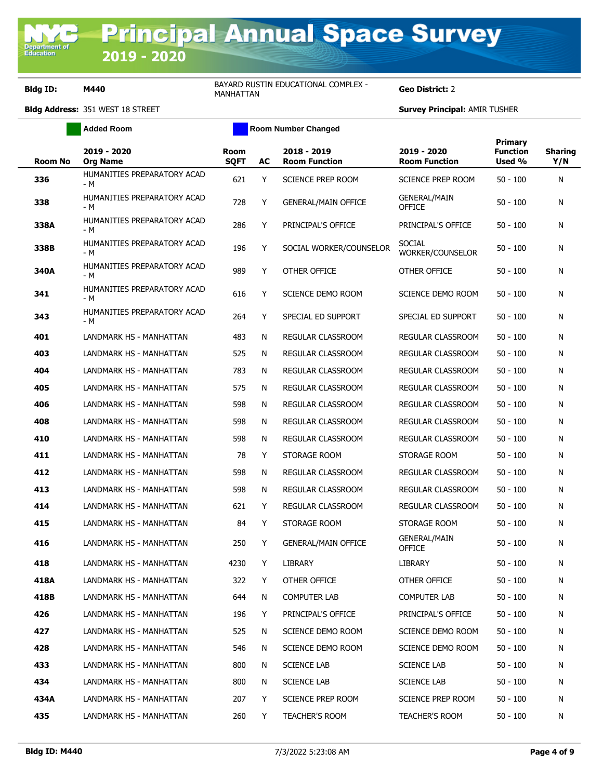**Bldg ID: M440** BAYARD RUSTIN EDUCATIONAL COMPLEX -**BAYARD RUSTIN EDUCATIONAL COMPLEX - Geo District:** 2

| <b>Added Room</b> |                                    |                            |     | <b>Room Number Changed</b>          |                                      |                                      |                       |  |  |
|-------------------|------------------------------------|----------------------------|-----|-------------------------------------|--------------------------------------|--------------------------------------|-----------------------|--|--|
| <b>Room No</b>    | 2019 - 2020<br><b>Org Name</b>     | <b>Room</b><br><b>SQFT</b> | AC  | 2018 - 2019<br><b>Room Function</b> | 2019 - 2020<br><b>Room Function</b>  | Primary<br><b>Function</b><br>Used % | <b>Sharing</b><br>Y/N |  |  |
| 336               | HUMANITIES PREPARATORY ACAD<br>- M | 621                        | Y   | <b>SCIENCE PREP ROOM</b>            | SCIENCE PREP ROOM                    | $50 - 100$                           | N                     |  |  |
| 338               | HUMANITIES PREPARATORY ACAD<br>- M | 728                        | Υ   | <b>GENERAL/MAIN OFFICE</b>          | <b>GENERAL/MAIN</b><br><b>OFFICE</b> | $50 - 100$                           | N                     |  |  |
| 338A              | HUMANITIES PREPARATORY ACAD<br>- M | 286                        | Υ   | PRINCIPAL'S OFFICE                  | PRINCIPAL'S OFFICE                   | 50 - 100                             | N                     |  |  |
| 338B              | HUMANITIES PREPARATORY ACAD<br>- M | 196                        | Y   | SOCIAL WORKER/COUNSELOR             | SOCIAL<br>WORKER/COUNSELOR           | 50 - 100                             | N                     |  |  |
| 340A              | HUMANITIES PREPARATORY ACAD<br>- M | 989                        | Y   | OTHER OFFICE                        | OTHER OFFICE                         | 50 - 100                             | N                     |  |  |
| 341               | HUMANITIES PREPARATORY ACAD<br>- M | 616                        | Υ   | SCIENCE DEMO ROOM                   | SCIENCE DEMO ROOM                    | $50 - 100$                           | N                     |  |  |
| 343               | HUMANITIES PREPARATORY ACAD<br>- M | 264                        | Y   | SPECIAL ED SUPPORT                  | SPECIAL ED SUPPORT                   | $50 - 100$                           | N                     |  |  |
| 401               | LANDMARK HS - MANHATTAN            | 483                        | N   | REGULAR CLASSROOM                   | REGULAR CLASSROOM                    | $50 - 100$                           | N                     |  |  |
| 403               | LANDMARK HS - MANHATTAN            | 525                        | N   | REGULAR CLASSROOM                   | <b>REGULAR CLASSROOM</b>             | $50 - 100$                           | N                     |  |  |
| 404               | <b>LANDMARK HS - MANHATTAN</b>     | 783                        | N   | REGULAR CLASSROOM                   | REGULAR CLASSROOM                    | $50 - 100$                           | N                     |  |  |
| 405               | LANDMARK HS - MANHATTAN            | 575                        | N   | REGULAR CLASSROOM                   | REGULAR CLASSROOM                    | $50 - 100$                           | N                     |  |  |
| 406               | LANDMARK HS - MANHATTAN            | 598                        | N   | REGULAR CLASSROOM                   | REGULAR CLASSROOM                    | 50 - 100                             | N                     |  |  |
| 408               | LANDMARK HS - MANHATTAN            | 598                        | N   | <b>REGULAR CLASSROOM</b>            | REGULAR CLASSROOM                    | $50 - 100$                           | N                     |  |  |
| 410               | LANDMARK HS - MANHATTAN            | 598                        | N   | REGULAR CLASSROOM                   | REGULAR CLASSROOM                    | $50 - 100$                           | N                     |  |  |
| 411               | LANDMARK HS - MANHATTAN            | 78                         | Y   | STORAGE ROOM                        | STORAGE ROOM                         | 50 - 100                             | N                     |  |  |
| 412               | LANDMARK HS - MANHATTAN            | 598                        | N   | REGULAR CLASSROOM                   | REGULAR CLASSROOM                    | 50 - 100                             | N                     |  |  |
| 413               | LANDMARK HS - MANHATTAN            | 598                        | N   | REGULAR CLASSROOM                   | REGULAR CLASSROOM                    | $50 - 100$                           | N                     |  |  |
| 414               | LANDMARK HS - MANHATTAN            | 621                        | Y   | REGULAR CLASSROOM                   | REGULAR CLASSROOM                    | $50 - 100$                           | N                     |  |  |
| 415               | LANDMARK HS - MANHATTAN            | 84                         | Y   | STORAGE ROOM                        | STORAGE ROOM                         | 50 - 100                             | N                     |  |  |
| 416               | <b>LANDMARK HS - MANHATTAN</b>     | 250                        | Y   | <b>GENERAL/MAIN OFFICE</b>          | <b>GENERAL/MAIN</b><br><b>OFFICE</b> | 50 - 100                             | N                     |  |  |
| 418               | LANDMARK HS - MANHATTAN            | 4230                       | Y - | LIBRARY                             | LIBRARY                              | $50 - 100$                           | N                     |  |  |
| 418A              | LANDMARK HS - MANHATTAN            | 322                        | Y   | OTHER OFFICE                        | OTHER OFFICE                         | $50 - 100$                           | N                     |  |  |
| 418B              | LANDMARK HS - MANHATTAN            | 644                        | N   | <b>COMPUTER LAB</b>                 | COMPUTER LAB                         | $50 - 100$                           | N                     |  |  |
| 426               | LANDMARK HS - MANHATTAN            | 196                        | Y   | PRINCIPAL'S OFFICE                  | PRINCIPAL'S OFFICE                   | $50 - 100$                           | N                     |  |  |
| 427               | LANDMARK HS - MANHATTAN            | 525                        | N   | SCIENCE DEMO ROOM                   | SCIENCE DEMO ROOM                    | $50 - 100$                           | N                     |  |  |
| 428               | LANDMARK HS - MANHATTAN            | 546                        | N   | SCIENCE DEMO ROOM                   | SCIENCE DEMO ROOM                    | $50 - 100$                           | N                     |  |  |
| 433               | LANDMARK HS - MANHATTAN            | 800                        | N   | SCIENCE LAB                         | <b>SCIENCE LAB</b>                   | $50 - 100$                           | N                     |  |  |
| 434               | LANDMARK HS - MANHATTAN            | 800                        | N   | <b>SCIENCE LAB</b>                  | <b>SCIENCE LAB</b>                   | $50 - 100$                           | N                     |  |  |
| 434A              | LANDMARK HS - MANHATTAN            | 207                        | Y   | SCIENCE PREP ROOM                   | SCIENCE PREP ROOM                    | $50 - 100$                           | N                     |  |  |
| 435               | LANDMARK HS - MANHATTAN            | 260                        | Y   | <b>TEACHER'S ROOM</b>               | TEACHER'S ROOM                       | $50 - 100$                           | N                     |  |  |
|                   |                                    |                            |     |                                     |                                      |                                      |                       |  |  |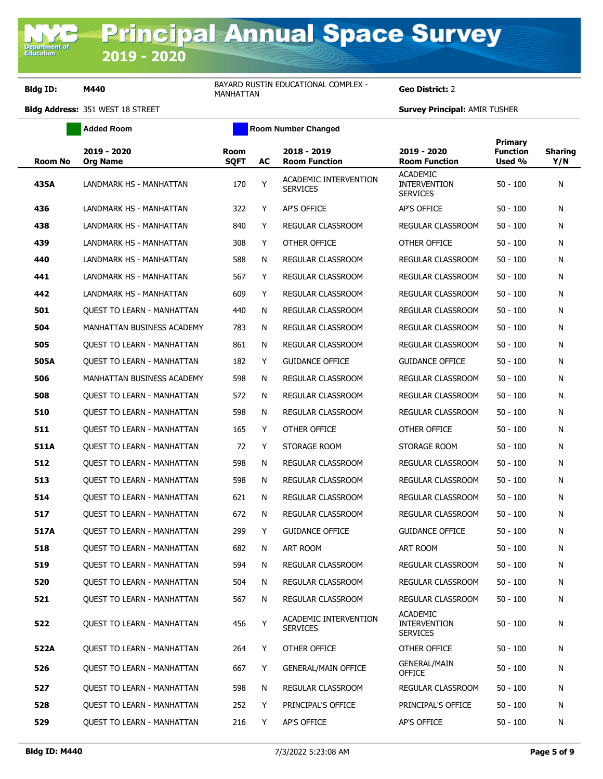**Bldg ID: M440** BAYARD RUSTIN EDUCATIONAL COMPLEX -**BAYARD RUSTIN EDUCATIONAL COMPLEX - Geo District:** 2

|                | <b>Added Room</b>                 |                            |    | <b>Room Number Changed</b>               |                                                           |                                             |                       |
|----------------|-----------------------------------|----------------------------|----|------------------------------------------|-----------------------------------------------------------|---------------------------------------------|-----------------------|
| <b>Room No</b> | 2019 - 2020<br><b>Org Name</b>    | <b>Room</b><br><b>SOFT</b> | AC | 2018 - 2019<br><b>Room Function</b>      | 2019 - 2020<br><b>Room Function</b>                       | <b>Primary</b><br><b>Function</b><br>Used % | <b>Sharing</b><br>Y/N |
| 435A           | LANDMARK HS - MANHATTAN           | 170                        | Y  | ACADEMIC INTERVENTION<br><b>SERVICES</b> | <b>ACADEMIC</b><br><b>INTERVENTION</b><br><b>SERVICES</b> | $50 - 100$                                  | N                     |
| 436            | LANDMARK HS - MANHATTAN           | 322                        | Y  | AP'S OFFICE                              | AP'S OFFICE                                               | $50 - 100$                                  | Ν                     |
| 438            | LANDMARK HS - MANHATTAN           | 840                        | Y  | REGULAR CLASSROOM                        | REGULAR CLASSROOM                                         | $50 - 100$                                  | Ν                     |
| 439            | LANDMARK HS - MANHATTAN           | 308                        | Y  | OTHER OFFICE                             | OTHER OFFICE                                              | $50 - 100$                                  | Ν                     |
| 440            | LANDMARK HS - MANHATTAN           | 588                        | N  | REGULAR CLASSROOM                        | <b>REGULAR CLASSROOM</b>                                  | $50 - 100$                                  | Ν                     |
| 441            | LANDMARK HS - MANHATTAN           | 567                        | Y  | REGULAR CLASSROOM                        | REGULAR CLASSROOM                                         | $50 - 100$                                  | Ν                     |
| 442            | LANDMARK HS - MANHATTAN           | 609                        | Y  | REGULAR CLASSROOM                        | REGULAR CLASSROOM                                         | $50 - 100$                                  | Ν                     |
| 501            | <b>OUEST TO LEARN - MANHATTAN</b> | 440                        | N  | REGULAR CLASSROOM                        | REGULAR CLASSROOM                                         | $50 - 100$                                  | Ν                     |
| 504            | MANHATTAN BUSINESS ACADEMY        | 783                        | N  | REGULAR CLASSROOM                        | REGULAR CLASSROOM                                         | $50 - 100$                                  | Ν                     |
| 505            | <b>QUEST TO LEARN - MANHATTAN</b> | 861                        | N  | REGULAR CLASSROOM                        | REGULAR CLASSROOM                                         | $50 - 100$                                  | Ν                     |
| 505A           | <b>OUEST TO LEARN - MANHATTAN</b> | 182                        | Y  | <b>GUIDANCE OFFICE</b>                   | <b>GUIDANCE OFFICE</b>                                    | $50 - 100$                                  | Ν                     |
| 506            | MANHATTAN BUSINESS ACADEMY        | 598                        | N  | REGULAR CLASSROOM                        | REGULAR CLASSROOM                                         | $50 - 100$                                  | Ν                     |
| 508            | QUEST TO LEARN - MANHATTAN        | 572                        | N  | REGULAR CLASSROOM                        | REGULAR CLASSROOM                                         | $50 - 100$                                  | Ν                     |
| 510            | QUEST TO LEARN - MANHATTAN        | 598                        | N  | REGULAR CLASSROOM                        | REGULAR CLASSROOM                                         | $50 - 100$                                  | Ν                     |
| 511            | <b>QUEST TO LEARN - MANHATTAN</b> | 165                        | Y  | OTHER OFFICE                             | OTHER OFFICE                                              | $50 - 100$                                  | Ν                     |
| 511A           | <b>OUEST TO LEARN - MANHATTAN</b> | 72                         | Y  | STORAGE ROOM                             | STORAGE ROOM                                              | $50 - 100$                                  | Ν                     |
| 512            | <b>QUEST TO LEARN - MANHATTAN</b> | 598                        | N  | REGULAR CLASSROOM                        | REGULAR CLASSROOM                                         | $50 - 100$                                  | Ν                     |
| 513            | <b>OUEST TO LEARN - MANHATTAN</b> | 598                        | N  | REGULAR CLASSROOM                        | REGULAR CLASSROOM                                         | $50 - 100$                                  | Ν                     |
| 514            | QUEST TO LEARN - MANHATTAN        | 621                        | N  | REGULAR CLASSROOM                        | REGULAR CLASSROOM                                         | $50 - 100$                                  | Ν                     |
| 517            | <b>OUEST TO LEARN - MANHATTAN</b> | 672                        | N  | REGULAR CLASSROOM                        | REGULAR CLASSROOM                                         | $50 - 100$                                  | Ν                     |
| 517A           | QUEST TO LEARN - MANHATTAN        | 299                        | Y  | <b>GUIDANCE OFFICE</b>                   | <b>GUIDANCE OFFICE</b>                                    | $50 - 100$                                  | Ν                     |
| 518            | <b>OUEST TO LEARN - MANHATTAN</b> | 682                        | N  | <b>ART ROOM</b>                          | <b>ART ROOM</b>                                           | $50 - 100$                                  | Ν                     |
| 519            | QUEST TO LEARN - MANHATTAN        | 594                        | N  | REGULAR CLASSROOM                        | REGULAR CLASSROOM                                         | $50 - 100$                                  | Ν                     |
| 520            | <b>QUEST TO LEARN - MANHATTAN</b> | 504                        | N  | REGULAR CLASSROOM                        | REGULAR CLASSROOM                                         | $50 - 100$                                  | Ν                     |
| 521            | <b>QUEST TO LEARN - MANHATTAN</b> | 567                        | N  | REGULAR CLASSROOM                        | REGULAR CLASSROOM                                         | $50 - 100$                                  | Ν                     |
| 522            | <b>OUEST TO LEARN - MANHATTAN</b> | 456                        | Y  | ACADEMIC INTERVENTION<br><b>SERVICES</b> | <b>ACADEMIC</b><br><b>INTERVENTION</b><br><b>SERVICES</b> | $50 - 100$                                  | Ν                     |
| 522A           | <b>QUEST TO LEARN - MANHATTAN</b> | 264                        | Y  | OTHER OFFICE                             | OTHER OFFICE                                              | $50 - 100$                                  | Ν                     |
| 526            | <b>QUEST TO LEARN - MANHATTAN</b> | 667                        | Y  | <b>GENERAL/MAIN OFFICE</b>               | <b>GENERAL/MAIN</b><br><b>OFFICE</b>                      | $50 - 100$                                  | Ν                     |
| 527            | <b>OUEST TO LEARN - MANHATTAN</b> | 598                        | N  | <b>REGULAR CLASSROOM</b>                 | REGULAR CLASSROOM                                         | $50 - 100$                                  | N                     |
| 528            | <b>QUEST TO LEARN - MANHATTAN</b> | 252                        | Y  | PRINCIPAL'S OFFICE                       | PRINCIPAL'S OFFICE                                        | $50 - 100$                                  | N                     |
| 529            | <b>QUEST TO LEARN - MANHATTAN</b> | 216                        | Y  | AP'S OFFICE                              | AP'S OFFICE                                               | $50 - 100$                                  | Ν                     |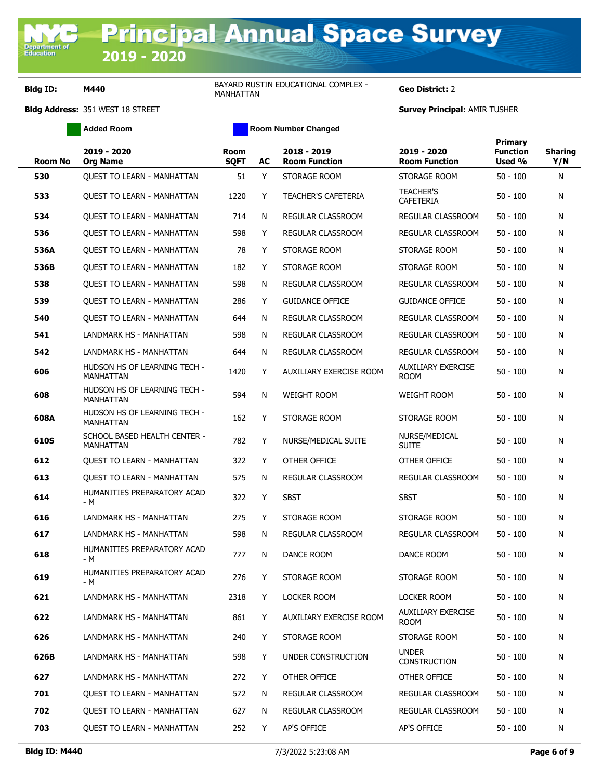$\overline{ }$  $\overline{\phantom{0}}$ 

**Bldg ID: M440** BAYARD RUSTIN EDUCATIONAL COMPLEX -BAYARD RUSTIN EDUCATIONAL COMPLEX - **Geo District:** 2<br>MANHATTAN

|                | <b>Added Room</b>                                |                            |    | Room Number Changed                 |                                          |                                             |                       |  |
|----------------|--------------------------------------------------|----------------------------|----|-------------------------------------|------------------------------------------|---------------------------------------------|-----------------------|--|
| <b>Room No</b> | 2019 - 2020<br><b>Org Name</b>                   | <b>Room</b><br><b>SQFT</b> | AC | 2018 - 2019<br><b>Room Function</b> | 2019 - 2020<br><b>Room Function</b>      | <b>Primary</b><br><b>Function</b><br>Used % | <b>Sharing</b><br>Y/N |  |
| 530            | <b>OUEST TO LEARN - MANHATTAN</b>                | 51                         | Y  | STORAGE ROOM                        | STORAGE ROOM                             | $50 - 100$                                  | N                     |  |
| 533            | QUEST TO LEARN - MANHATTAN                       | 1220                       | Y  | <b>TEACHER'S CAFETERIA</b>          | <b>TEACHER'S</b><br><b>CAFETERIA</b>     | 50 - 100                                    | N                     |  |
| 534            | <b>OUEST TO LEARN - MANHATTAN</b>                | 714                        | N  | REGULAR CLASSROOM                   | REGULAR CLASSROOM                        | $50 - 100$                                  | N                     |  |
| 536            | QUEST TO LEARN - MANHATTAN                       | 598                        | Y  | REGULAR CLASSROOM                   | REGULAR CLASSROOM                        | $50 - 100$                                  | N                     |  |
| 536A           | <b>OUEST TO LEARN - MANHATTAN</b>                | 78                         | Y  | STORAGE ROOM                        | STORAGE ROOM                             | $50 - 100$                                  | N                     |  |
| 536B           | QUEST TO LEARN - MANHATTAN                       | 182                        | Y  | STORAGE ROOM                        | STORAGE ROOM                             | 50 - 100                                    | N                     |  |
| 538            | <b>OUEST TO LEARN - MANHATTAN</b>                | 598                        | N  | REGULAR CLASSROOM                   | REGULAR CLASSROOM                        | $50 - 100$                                  | N                     |  |
| 539            | QUEST TO LEARN - MANHATTAN                       | 286                        | Y  | <b>GUIDANCE OFFICE</b>              | <b>GUIDANCE OFFICE</b>                   | $50 - 100$                                  | N                     |  |
| 540            | <b>OUEST TO LEARN - MANHATTAN</b>                | 644                        | N  | REGULAR CLASSROOM                   | REGULAR CLASSROOM                        | $50 - 100$                                  | N                     |  |
| 541            | LANDMARK HS - MANHATTAN                          | 598                        | N  | REGULAR CLASSROOM                   | REGULAR CLASSROOM                        | $50 - 100$                                  | N                     |  |
| 542            | LANDMARK HS - MANHATTAN                          | 644                        | N  | REGULAR CLASSROOM                   | REGULAR CLASSROOM                        | $50 - 100$                                  | N                     |  |
| 606            | HUDSON HS OF LEARNING TECH -<br><b>MANHATTAN</b> | 1420                       | Y  | AUXILIARY EXERCISE ROOM             | <b>AUXILIARY EXERCISE</b><br><b>ROOM</b> | $50 - 100$                                  | N                     |  |
| 608            | HUDSON HS OF LEARNING TECH -<br><b>MANHATTAN</b> | 594                        | N  | <b>WEIGHT ROOM</b>                  | <b>WEIGHT ROOM</b>                       | 50 - 100                                    | N                     |  |
| 608A           | HUDSON HS OF LEARNING TECH -<br><b>MANHATTAN</b> | 162                        | Y  | STORAGE ROOM                        | STORAGE ROOM                             | 50 - 100                                    | N                     |  |
| 610S           | SCHOOL BASED HEALTH CENTER -<br>MANHATTAN        | 782                        | Y  | NURSE/MEDICAL SUITE                 | NURSE/MEDICAL<br><b>SUITE</b>            | 50 - 100                                    | N                     |  |
| 612            | <b>OUEST TO LEARN - MANHATTAN</b>                | 322                        | Y  | OTHER OFFICE                        | OTHER OFFICE                             | $50 - 100$                                  | N                     |  |
| 613            | QUEST TO LEARN - MANHATTAN                       | 575                        | N  | REGULAR CLASSROOM                   | REGULAR CLASSROOM                        | $50 - 100$                                  | N                     |  |
| 614            | HUMANITIES PREPARATORY ACAD<br>- M               | 322                        | Y  | <b>SBST</b>                         | <b>SBST</b>                              | $50 - 100$                                  | N                     |  |
| 616            | <b>LANDMARK HS - MANHATTAN</b>                   | 275                        | Y  | STORAGE ROOM                        | STORAGE ROOM                             | $50 - 100$                                  | N                     |  |
| 617            | LANDMARK HS - MANHATTAN                          | 598                        | N  | REGULAR CLASSROOM                   | REGULAR CLASSROOM                        | $50 - 100$                                  | N                     |  |
| 618            | HUMANITIES PREPARATORY ACAD<br>- M               | 777                        | N  | DANCE ROOM                          | DANCE ROOM                               | $50 - 100$                                  | N                     |  |
| 619            | HUMANITIES PREPARATORY ACAD<br>- M               | 276                        | Y  | STORAGE ROOM                        | STORAGE ROOM                             | $50 - 100$                                  | N                     |  |
| 621            | LANDMARK HS - MANHATTAN                          | 2318                       | Y  | LOCKER ROOM                         | LOCKER ROOM                              | $50 - 100$                                  | N                     |  |
| 622            | LANDMARK HS - MANHATTAN                          | 861                        | Y  | AUXILIARY EXERCISE ROOM             | <b>AUXILIARY EXERCISE</b><br><b>ROOM</b> | $50 - 100$                                  | N                     |  |
| 626            | LANDMARK HS - MANHATTAN                          | 240                        | Y  | STORAGE ROOM                        | STORAGE ROOM                             | $50 - 100$                                  | N                     |  |
| 626B           | LANDMARK HS - MANHATTAN                          | 598                        | Y  | UNDER CONSTRUCTION                  | <b>UNDER</b><br><b>CONSTRUCTION</b>      | $50 - 100$                                  | N                     |  |
| 627            | LANDMARK HS - MANHATTAN                          | 272                        | Y  | OTHER OFFICE                        | OTHER OFFICE                             | $50 - 100$                                  | N                     |  |
| 701            | <b>OUEST TO LEARN - MANHATTAN</b>                | 572                        | N  | <b>REGULAR CLASSROOM</b>            | REGULAR CLASSROOM                        | $50 - 100$                                  | N                     |  |
| 702            | <b>QUEST TO LEARN - MANHATTAN</b>                | 627                        | N  | REGULAR CLASSROOM                   | REGULAR CLASSROOM                        | $50 - 100$                                  | N                     |  |
| 703            | QUEST TO LEARN - MANHATTAN                       | 252                        | Y  | AP'S OFFICE                         | AP'S OFFICE                              | $50 - 100$                                  | N                     |  |
|                |                                                  |                            |    |                                     |                                          |                                             |                       |  |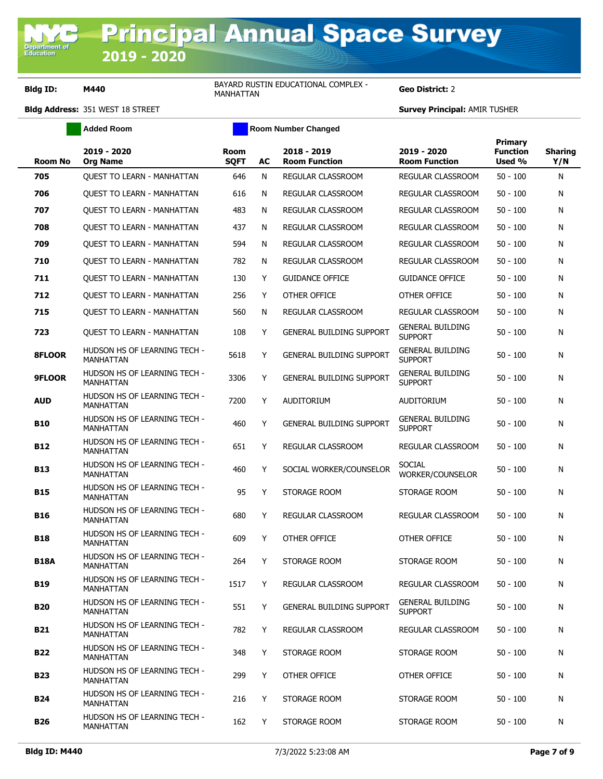## **Bldg ID: M440** BAYARD RUSTIN EDUCATIONAL COMPLEX -**BAYARD RUSTIN EDUCATIONAL COMPLEX - Geo District:** 2

|                | <b>Added Room</b>                                |                            |           | <b>Room Number Changed</b>          |                                           |                                      |                       |
|----------------|--------------------------------------------------|----------------------------|-----------|-------------------------------------|-------------------------------------------|--------------------------------------|-----------------------|
| <b>Room No</b> | 2019 - 2020<br><b>Org Name</b>                   | <b>Room</b><br><b>SQFT</b> | <b>AC</b> | 2018 - 2019<br><b>Room Function</b> | 2019 - 2020<br><b>Room Function</b>       | Primary<br><b>Function</b><br>Used % | <b>Sharing</b><br>Y/N |
| 705            | QUEST TO LEARN - MANHATTAN                       | 646                        | N         | <b>REGULAR CLASSROOM</b>            | REGULAR CLASSROOM                         | $50 - 100$                           | N                     |
| 706            | <b>OUEST TO LEARN - MANHATTAN</b>                | 616                        | N         | REGULAR CLASSROOM                   | REGULAR CLASSROOM                         | $50 - 100$                           | N                     |
| 707            | <b>OUEST TO LEARN - MANHATTAN</b>                | 483                        | N         | REGULAR CLASSROOM                   | REGULAR CLASSROOM                         | $50 - 100$                           | N                     |
| 708            | <b>OUEST TO LEARN - MANHATTAN</b>                | 437                        | N         | REGULAR CLASSROOM                   | REGULAR CLASSROOM                         | $50 - 100$                           | N                     |
| 709            | <b>OUEST TO LEARN - MANHATTAN</b>                | 594                        | N         | REGULAR CLASSROOM                   | <b>REGULAR CLASSROOM</b>                  | $50 - 100$                           | N                     |
| 710            | <b>QUEST TO LEARN - MANHATTAN</b>                | 782                        | N         | REGULAR CLASSROOM                   | REGULAR CLASSROOM                         | $50 - 100$                           | N                     |
| 711            | <b>QUEST TO LEARN - MANHATTAN</b>                | 130                        | Y         | <b>GUIDANCE OFFICE</b>              | <b>GUIDANCE OFFICE</b>                    | 50 - 100                             | N                     |
| 712            | <b>OUEST TO LEARN - MANHATTAN</b>                | 256                        | Y         | OTHER OFFICE                        | OTHER OFFICE                              | 50 - 100                             | N                     |
| 715            | <b>QUEST TO LEARN - MANHATTAN</b>                | 560                        | N         | REGULAR CLASSROOM                   | REGULAR CLASSROOM                         | $50 - 100$                           | N                     |
| 723            | <b>QUEST TO LEARN - MANHATTAN</b>                | 108                        | Y         | <b>GENERAL BUILDING SUPPORT</b>     | <b>GENERAL BUILDING</b><br><b>SUPPORT</b> | 50 - 100                             | N                     |
| 8FLOOR         | HUDSON HS OF LEARNING TECH -<br><b>MANHATTAN</b> | 5618                       | Υ         | <b>GENERAL BUILDING SUPPORT</b>     | <b>GENERAL BUILDING</b><br><b>SUPPORT</b> | 50 - 100                             | N                     |
| 9FLOOR         | HUDSON HS OF LEARNING TECH -<br>MANHATTAN        | 3306                       | Y         | <b>GENERAL BUILDING SUPPORT</b>     | <b>GENERAL BUILDING</b><br><b>SUPPORT</b> | 50 - 100                             | N                     |
| <b>AUD</b>     | HUDSON HS OF LEARNING TECH -<br><b>MANHATTAN</b> | 7200                       | Y         | AUDITORIUM                          | <b>AUDITORIUM</b>                         | 50 - 100                             | N                     |
| <b>B10</b>     | HUDSON HS OF LEARNING TECH -<br>MANHATTAN        | 460                        | Υ         | <b>GENERAL BUILDING SUPPORT</b>     | <b>GENERAL BUILDING</b><br><b>SUPPORT</b> | 50 - 100                             | N                     |
| <b>B12</b>     | HUDSON HS OF LEARNING TECH -<br><b>MANHATTAN</b> | 651                        | Y         | REGULAR CLASSROOM                   | REGULAR CLASSROOM                         | 50 - 100                             | N                     |
| <b>B13</b>     | HUDSON HS OF LEARNING TECH -<br>MANHATTAN        | 460                        | Υ         | SOCIAL WORKER/COUNSELOR             | <b>SOCIAL</b><br>WORKER/COUNSELOR         | 50 - 100                             | N                     |
| <b>B15</b>     | HUDSON HS OF LEARNING TECH -<br>MANHATTAN        | 95                         | Y         | STORAGE ROOM                        | STORAGE ROOM                              | 50 - 100                             | N                     |
| <b>B16</b>     | HUDSON HS OF LEARNING TECH -<br>MANHATTAN        | 680                        | Y         | REGULAR CLASSROOM                   | REGULAR CLASSROOM                         | $50 - 100$                           | N                     |
| <b>B18</b>     | HUDSON HS OF LEARNING TECH -<br><b>MANHATTAN</b> | 609                        | Y         | OTHER OFFICE                        | OTHER OFFICE                              | 50 - 100                             | N                     |
| <b>B18A</b>    | HUDSON HS OF LEARNING TECH -<br>MANHA I I AN     | 264                        | Y.        | STORAGE ROOM                        | STORAGE ROOM                              | 50 - 100                             | N                     |
| <b>B19</b>     | HUDSON HS OF LEARNING TECH -<br>MANHATTAN        | 1517                       | Y         | REGULAR CLASSROOM                   | REGULAR CLASSROOM                         | $50 - 100$                           | N                     |
| <b>B20</b>     | HUDSON HS OF LEARNING TECH -<br>MANHATTAN        | 551                        | Y         | <b>GENERAL BUILDING SUPPORT</b>     | <b>GENERAL BUILDING</b><br><b>SUPPORT</b> | 50 - 100                             | N                     |
| B21            | HUDSON HS OF LEARNING TECH -<br>MANHATTAN        | 782                        | Y         | REGULAR CLASSROOM                   | REGULAR CLASSROOM                         | $50 - 100$                           | N                     |
| <b>B22</b>     | HUDSON HS OF LEARNING TECH -<br>MANHATTAN        | 348                        | Y         | STORAGE ROOM                        | STORAGE ROOM                              | 50 - 100                             | N                     |
| <b>B23</b>     | HUDSON HS OF LEARNING TECH -<br>MANHATTAN        | 299                        | Y         | OTHER OFFICE                        | OTHER OFFICE                              | 50 - 100                             | N                     |
| <b>B24</b>     | HUDSON HS OF LEARNING TECH -<br>MANHATTAN        | 216                        | Y         | STORAGE ROOM                        | STORAGE ROOM                              | 50 - 100                             | N                     |
| B26            | HUDSON HS OF LEARNING TECH -<br>MANHATTAN        | 162                        | Y         | STORAGE ROOM                        | STORAGE ROOM                              | 50 - 100                             | N                     |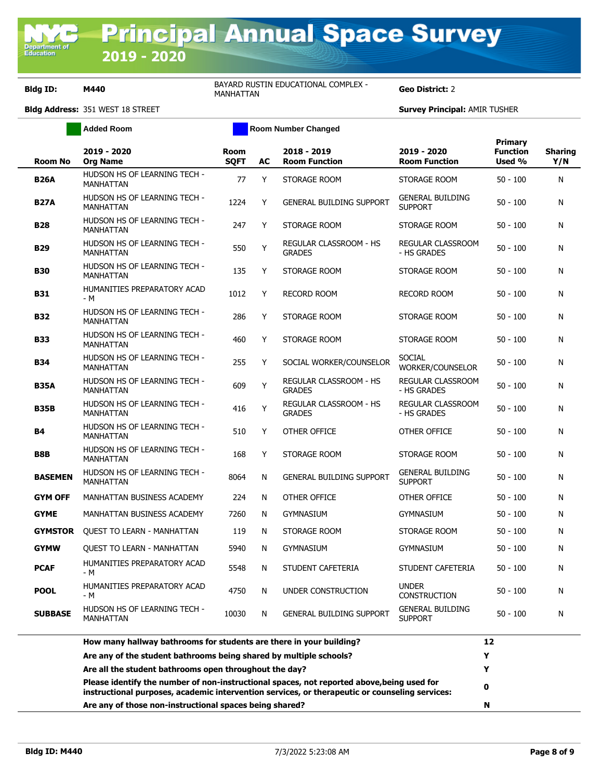Ē ÷

**Bldg ID: M440** BAYARD RUSTIN EDUCATIONAL COMPLEX -BAYARD RUSTIN EDUCATIONAL COMPLEX - **Geo District:** 2<br>MANHATTAN

|                | <b>Added Room</b>                                | Room Number Changed        |    |                                         |                                           |                                      |                       |
|----------------|--------------------------------------------------|----------------------------|----|-----------------------------------------|-------------------------------------------|--------------------------------------|-----------------------|
| <b>Room No</b> | 2019 - 2020<br><b>Org Name</b>                   | <b>Room</b><br><b>SOFT</b> | AC | 2018 - 2019<br><b>Room Function</b>     | 2019 - 2020<br><b>Room Function</b>       | Primary<br><b>Function</b><br>Used % | <b>Sharing</b><br>Y/N |
| <b>B26A</b>    | HUDSON HS OF LEARNING TECH -<br><b>MANHATTAN</b> | 77                         | Y  | STORAGE ROOM                            | STORAGE ROOM                              | $50 - 100$                           | N                     |
| <b>B27A</b>    | HUDSON HS OF LEARNING TECH -<br><b>MANHATTAN</b> | 1224                       | Υ  | <b>GENERAL BUILDING SUPPORT</b>         | <b>GENERAL BUILDING</b><br><b>SUPPORT</b> | $50 - 100$                           | N                     |
| <b>B28</b>     | HUDSON HS OF LEARNING TECH -<br><b>MANHATTAN</b> | 247                        | Y  | STORAGE ROOM                            | STORAGE ROOM                              | $50 - 100$                           | N                     |
| <b>B29</b>     | HUDSON HS OF LEARNING TECH -<br><b>MANHATTAN</b> | 550                        | Y  | REGULAR CLASSROOM - HS<br><b>GRADES</b> | <b>REGULAR CLASSROOM</b><br>- HS GRADES   | $50 - 100$                           | N                     |
| <b>B30</b>     | HUDSON HS OF LEARNING TECH -<br><b>MANHATTAN</b> | 135                        | Υ  | STORAGE ROOM                            | STORAGE ROOM                              | $50 - 100$                           | N                     |
| <b>B31</b>     | HUMANITIES PREPARATORY ACAD<br>- M               | 1012                       | Y  | <b>RECORD ROOM</b>                      | <b>RECORD ROOM</b>                        | $50 - 100$                           | N                     |
| <b>B32</b>     | HUDSON HS OF LEARNING TECH -<br>MANHATTAN        | 286                        | Y  | STORAGE ROOM                            | STORAGE ROOM                              | $50 - 100$                           | N                     |
| <b>B33</b>     | HUDSON HS OF LEARNING TECH -<br><b>MANHATTAN</b> | 460                        | Y  | STORAGE ROOM                            | STORAGE ROOM                              | $50 - 100$                           | N                     |
| <b>B34</b>     | HUDSON HS OF LEARNING TECH -<br><b>MANHATTAN</b> | 255                        | Y  | SOCIAL WORKER/COUNSELOR                 | <b>SOCIAL</b><br>WORKER/COUNSELOR         | $50 - 100$                           | N                     |
| <b>B35A</b>    | HUDSON HS OF LEARNING TECH -<br>MANHATTAN        | 609                        | Y  | REGULAR CLASSROOM - HS<br><b>GRADES</b> | REGULAR CLASSROOM<br>- HS GRADES          | $50 - 100$                           | N                     |
| <b>B35B</b>    | HUDSON HS OF LEARNING TECH -<br><b>MANHATTAN</b> | 416                        | Y  | REGULAR CLASSROOM - HS<br><b>GRADES</b> | REGULAR CLASSROOM<br>- HS GRADES          | $50 - 100$                           | N                     |
| <b>B4</b>      | HUDSON HS OF LEARNING TECH -<br><b>MANHATTAN</b> | 510                        | Y  | OTHER OFFICE                            | OTHER OFFICE                              | $50 - 100$                           | N                     |
| B8B            | HUDSON HS OF LEARNING TECH -<br><b>MANHATTAN</b> | 168                        | Y  | STORAGE ROOM                            | STORAGE ROOM                              | $50 - 100$                           | N                     |
| <b>BASEMEN</b> | HUDSON HS OF LEARNING TECH -<br><b>MANHATTAN</b> | 8064                       | N  | <b>GENERAL BUILDING SUPPORT</b>         | <b>GENERAL BUILDING</b><br><b>SUPPORT</b> | $50 - 100$                           | N                     |
| <b>GYM OFF</b> | MANHATTAN BUSINESS ACADEMY                       | 224                        | N  | OTHER OFFICE                            | OTHER OFFICE                              | $50 - 100$                           | N                     |
| <b>GYME</b>    | MANHATTAN BUSINESS ACADEMY                       | 7260                       | N  | <b>GYMNASIUM</b>                        | <b>GYMNASIUM</b>                          | $50 - 100$                           | N                     |
| <b>GYMSTOR</b> | <b>OUEST TO LEARN - MANHATTAN</b>                | 119                        | N  | STORAGE ROOM                            | STORAGE ROOM                              | $50 - 100$                           | N                     |
| <b>GYMW</b>    | <b>QUEST TO LEARN - MANHATTAN</b>                | 5940                       | N  | <b>GYMNASIUM</b>                        | <b>GYMNASIUM</b>                          | $50 - 100$                           | N                     |
| <b>PCAF</b>    | HUMANITIES PREPARATORY ACAD<br>- M               | 5548                       | N  | STUDENT CAFETERIA                       | STUDENT CAFETERIA                         | $50 - 100$                           | N                     |
| <b>POOL</b>    | HUMANITIES PREPARATORY ACAD<br>- M               | 4750                       | N  | UNDER CONSTRUCTION                      | <b>UNDER</b><br><b>CONSTRUCTION</b>       | $50 - 100$                           | N                     |
| <b>SUBBASE</b> | HUDSON HS OF LEARNING TECH -<br><b>MANHATTAN</b> | 10030                      | N  | <b>GENERAL BUILDING SUPPORT</b>         | <b>GENERAL BUILDING</b><br><b>SUPPORT</b> | $50 - 100$                           | N                     |
|                |                                                  |                            |    |                                         |                                           |                                      |                       |

| How many hallway bathrooms for students are there in your building?                                                                                                                          |   |
|----------------------------------------------------------------------------------------------------------------------------------------------------------------------------------------------|---|
| Are any of the student bathrooms being shared by multiple schools?                                                                                                                           |   |
| Are all the student bathrooms open throughout the day?                                                                                                                                       |   |
| Please identify the number of non-instructional spaces, not reported above, being used for<br>instructional purposes, academic intervention services, or therapeutic or counseling services: | 0 |
| Are any of those non-instructional spaces being shared?                                                                                                                                      | N |